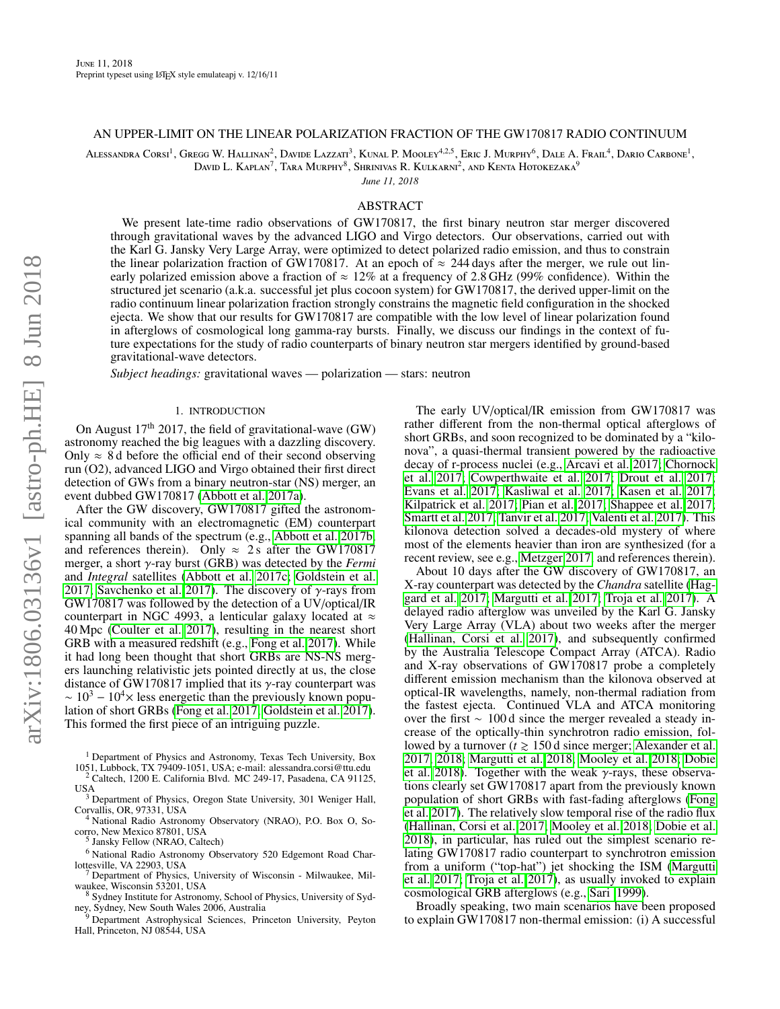#### AN UPPER-LIMIT ON THE LINEAR POLARIZATION FRACTION OF THE GW170817 RADIO CONTINUUM

Alessandra Corsi<sup>1</sup>, Gregg W. Hallinan<sup>2</sup>, Davide Lazzati<sup>3</sup>, Kunal P. Mooley<sup>4,2,5</sup>, Eric J. Murphy<sup>6</sup>, Dale A. Frail<sup>4</sup>, Dario Carbone<sup>1</sup>,

David L. Kaplan<sup>7</sup>, Tara Murphy<sup>8</sup>, Shrinivas R. Kulkarni<sup>2</sup>, and Kenta Hotokezaka<sup>9</sup>

*June 11, 2018*

# ABSTRACT

We present late-time radio observations of GW170817, the first binary neutron star merger discovered through gravitational waves by the advanced LIGO and Virgo detectors. Our observations, carried out with the Karl G. Jansky Very Large Array, were optimized to detect polarized radio emission, and thus to constrain the linear polarization fraction of GW170817. At an epoch of  $\approx 244$  days after the merger, we rule out linearly polarized emission above a fraction of  $\approx 12\%$  at a frequency of 2.8 GHz (99% confidence). Within the structured jet scenario (a.k.a. successful jet plus cocoon system) for GW170817, the derived upper-limit on the radio continuum linear polarization fraction strongly constrains the magnetic field configuration in the shocked ejecta. We show that our results for GW170817 are compatible with the low level of linear polarization found in afterglows of cosmological long gamma-ray bursts. Finally, we discuss our findings in the context of future expectations for the study of radio counterparts of binary neutron star mergers identified by ground-based gravitational-wave detectors.

*Subject headings:* gravitational waves — polarization — stars: neutron

#### 1. INTRODUCTION

<span id="page-0-0"></span>On August  $17<sup>th</sup>$  2017, the field of gravitational-wave (GW) astronomy reached the big leagues with a dazzling discovery. Only  $\approx 8$  d before the official end of their second observing run (O2), advanced LIGO and Virgo obtained their first direct detection of GWs from a binary neutron-star (NS) merger, an event dubbed GW170817 [\(Abbott et al. 2017a\)](#page-3-0).

After the GW discovery, GW170817 gifted the astronomical community with an electromagnetic (EM) counterpart spanning all bands of the spectrum (e.g., [Abbott et al. 2017b,](#page-3-1) and references therein). Only  $\approx$  2 s after the GW170817 merger, a short γ-ray burst (GRB) was detected by the *Fermi* and *Integral* satellites [\(Abbott et al. 2017c;](#page-3-2) [Goldstein et al.](#page-3-3) [2017;](#page-3-3) [Savchenko et al. 2017\)](#page-4-0). The discovery of  $\gamma$ -rays from GW170817 was followed by the detection of a UV/optical/IR counterpart in NGC 4993, a lenticular galaxy located at  $\approx$ 40 Mpc [\(Coulter et al. 2017\)](#page-3-4), resulting in the nearest short GRB with a measured redshift (e.g., [Fong et al. 2017\)](#page-3-5). While it had long been thought that short GRBs are NS-NS mergers launching relativistic jets pointed directly at us, the close distance of GW170817 implied that its  $\gamma$ -ray counterpart was  $\sim 10^3 - 10^4 \times$  less energetic than the previously known population of short GRBs [\(Fong et al. 2017;](#page-3-5) [Goldstein et al. 2017\)](#page-3-3). This formed the first piece of an intriguing puzzle.

<sup>1</sup> Department of Physics and Astronomy, Texas Tech University, Box 1051, Lubbock, TX 79409-1051, USA; e-mail: alessandra.corsi@ttu.edu

<sup>2</sup> Caltech, 1200 E. California Blvd. MC 249-17, Pasadena, CA 91125, USA

<sup>3</sup> Department of Physics, Oregon State University, 301 Weniger Hall, Corvallis, OR, 97331, USA

<sup>4</sup> National Radio Astronomy Observatory (NRAO), P.O. Box O, Socorro, New Mexico 87801, USA

5 Jansky Fellow (NRAO, Caltech)

<sup>6</sup> National Radio Astronomy Observatory 520 Edgemont Road Charlottesville, VA 22903, USA

<sup>7</sup> Department of Physics, University of Wisconsin - Milwaukee, Milwaukee, Wisconsin 53201, USA

<sup>8</sup> Sydney Institute for Astronomy, School of Physics, University of Sydney, Sydney, New South Wales 2006, Australia

<sup>9</sup> Department Astrophysical Sciences, Princeton University, Peyton Hall, Princeton, NJ 08544, USA

The early UV/optical/IR emission from GW170817 was rather different from the non-thermal optical afterglows of short GRBs, and soon recognized to be dominated by a "kilonova", a quasi-thermal transient powered by the radioactive decay of r-process nuclei (e.g., [Arcavi et al. 2017;](#page-3-6) [Chornock](#page-3-7) [et al. 2017;](#page-3-7) [Cowperthwaite et al. 2017;](#page-3-8) [Drout et al. 2017;](#page-3-9) [Evans et al. 2017;](#page-3-10) [Kasliwal et al. 2017;](#page-4-1) [Kasen et al. 2017;](#page-3-11) [Kilpatrick et al. 2017;](#page-4-2) [Pian et al. 2017;](#page-4-3) [Shappee et al. 2017;](#page-4-4) [Smartt et al. 2017;](#page-4-5) [Tanvir et al. 2017;](#page-4-6) [Valenti et al. 2017\)](#page-4-7). This kilonova detection solved a decades-old mystery of where most of the elements heavier than iron are synthesized (for a recent review, see e.g., [Metzger 2017,](#page-4-8) and references therein).

About 10 days after the GW discovery of GW170817, an X-ray counterpart was detected by the *Chandra* satellite [\(Hag](#page-3-12)[gard et al. 2017;](#page-3-12) [Margutti et al. 2017;](#page-4-9) [Troja et al. 2017\)](#page-4-10). A delayed radio afterglow was unveiled by the Karl G. Jansky Very Large Array (VLA) about two weeks after the merger [\(Hallinan, Corsi et al. 2017\)](#page-3-13), and subsequently confirmed by the Australia Telescope Compact Array (ATCA). Radio and X-ray observations of GW170817 probe a completely different emission mechanism than the kilonova observed at optical-IR wavelengths, namely, non-thermal radiation from the fastest ejecta. Continued VLA and ATCA monitoring over the first ∼ 100 d since the merger revealed a steady increase of the optically-thin synchrotron radio emission, followed by a turnover ( $t \ge 150$  d since merger; [Alexander et al.](#page-3-14) [2017,](#page-3-14) [2018;](#page-3-15) [Margutti et al. 2018;](#page-4-11) [Mooley et al. 2018;](#page-4-12) [Dobie](#page-3-16) [et al. 2018\)](#page-3-16). Together with the weak  $\gamma$ -rays, these observations clearly set GW170817 apart from the previously known population of short GRBs with fast-fading afterglows [\(Fong](#page-3-5) [et al. 2017\)](#page-3-5). The relatively slow temporal rise of the radio flux [\(Hallinan, Corsi et al. 2017;](#page-3-13) [Mooley et al. 2018;](#page-4-12) [Dobie et al.](#page-3-16) [2018\)](#page-3-16), in particular, has ruled out the simplest scenario relating GW170817 radio counterpart to synchrotron emission from a uniform ("top-hat") jet shocking the ISM [\(Margutti](#page-4-9) [et al. 2017;](#page-4-9) [Troja et al. 2017\)](#page-4-10), as usually invoked to explain cosmological GRB afterglows (e.g., [Sari 1999\)](#page-4-13).

Broadly speaking, two main scenarios have been proposed to explain GW170817 non-thermal emission: (i) A successful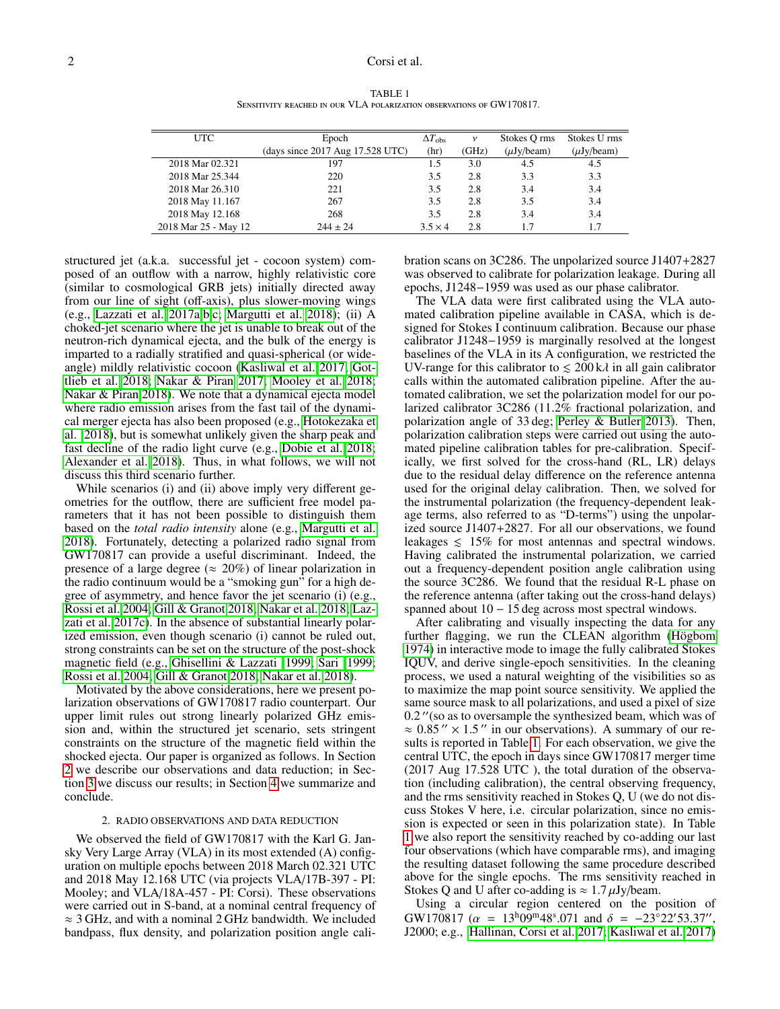| TABLE 1                                                               |
|-----------------------------------------------------------------------|
| SENSITIVITY REACHED IN OUR VLA POLARIZATION OBSERVATIONS OF GW170817. |

<span id="page-1-1"></span>

| <b>UTC</b>           | Epoch                                | $\Delta T_{\rm obs}$ | ν     | Stokes O rms    | Stokes U rms    |
|----------------------|--------------------------------------|----------------------|-------|-----------------|-----------------|
|                      | (days since $2017$ Aug $17.528$ UTC) | (hr)                 | (GHz) | $(\mu Jy/beam)$ | $(\mu Jy/beam)$ |
| 2018 Mar 02.321      | 197                                  | 1.5                  | 3.0   | 4.5             | 4.5             |
| 2018 Mar 25.344      | 220                                  | 3.5                  | 2.8   | 3.3             | 3.3             |
| 2018 Mar 26.310      | 221                                  | 3.5                  | 2.8   | 3.4             | 3.4             |
| 2018 May 11.167      | 267                                  | 3.5                  | 2.8   | 3.5             | 3.4             |
| 2018 May 12.168      | 268                                  | 3.5                  | 2.8   | 3.4             | 3.4             |
| 2018 Mar 25 - May 12 | $244 + 24$                           | $3.5 \times 4$       | 2.8   |                 | 1.7             |
|                      |                                      |                      |       |                 |                 |

structured jet (a.k.a. successful jet - cocoon system) composed of an outflow with a narrow, highly relativistic core (similar to cosmological GRB jets) initially directed away from our line of sight (off-axis), plus slower-moving wings (e.g., [Lazzati et al. 2017a](#page-4-14)[,b](#page-4-15)[,c;](#page-4-16) [Margutti et al. 2018\)](#page-4-11); (ii) A choked-jet scenario where the jet is unable to break out of the neutron-rich dynamical ejecta, and the bulk of the energy is imparted to a radially stratified and quasi-spherical (or wideangle) mildly relativistic cocoon [\(Kasliwal et al. 2017;](#page-4-1) [Got](#page-3-17)[tlieb et al. 2018;](#page-3-17) [Nakar & Piran 2017;](#page-4-17) [Mooley et al. 2018;](#page-4-12) [Nakar & Piran 2018\)](#page-4-18). We note that a dynamical ejecta model where radio emission arises from the fast tail of the dynamical merger ejecta has also been proposed (e.g., [Hotokezaka et](#page-3-18) [al. 2018\)](#page-3-18), but is somewhat unlikely given the sharp peak and fast decline of the radio light curve (e.g., [Dobie et al. 2018;](#page-3-16) [Alexander et al. 2018\)](#page-3-15). Thus, in what follows, we will not discuss this third scenario further.

While scenarios (i) and (ii) above imply very different geometries for the outflow, there are sufficient free model parameters that it has not been possible to distinguish them based on the *total radio intensity* alone (e.g., [Margutti et al.](#page-4-11) [2018\)](#page-4-11). Fortunately, detecting a polarized radio signal from GW170817 can provide a useful discriminant. Indeed, the presence of a large degree ( $\approx 20\%$ ) of linear polarization in the radio continuum would be a "smoking gun" for a high degree of asymmetry, and hence favor the jet scenario (i) (e.g., [Rossi et al. 2004;](#page-4-19) [Gill & Granot 2018;](#page-3-19) [Nakar et al. 2018;](#page-4-20) [Laz](#page-4-16)[zati et al. 2017c\)](#page-4-16). In the absence of substantial linearly polarized emission, even though scenario (i) cannot be ruled out, strong constraints can be set on the structure of the post-shock magnetic field (e.g., [Ghisellini & Lazzati 1999;](#page-3-20) [Sari 1999;](#page-4-13) [Rossi et al. 2004;](#page-4-19) [Gill & Granot 2018;](#page-3-19) [Nakar et al. 2018\)](#page-4-20).

Motivated by the above considerations, here we present polarization observations of GW170817 radio counterpart. Our upper limit rules out strong linearly polarized GHz emission and, within the structured jet scenario, sets stringent constraints on the structure of the magnetic field within the shocked ejecta. Our paper is organized as follows. In Section [2](#page-1-0) we describe our observations and data reduction; in Section [3](#page-2-0) we discuss our results; in Section [4](#page-3-21) we summarize and conclude.

#### 2. RADIO OBSERVATIONS AND DATA REDUCTION

<span id="page-1-0"></span>We observed the field of GW170817 with the Karl G. Jansky Very Large Array (VLA) in its most extended (A) configuration on multiple epochs between 2018 March 02.321 UTC and 2018 May 12.168 UTC (via projects VLA/17B-397 - PI: Mooley; and VLA/18A-457 - PI: Corsi). These observations were carried out in S-band, at a nominal central frequency of  $\approx$  3 GHz, and with a nominal 2 GHz bandwidth. We included bandpass, flux density, and polarization position angle cali-

bration scans on 3C286. The unpolarized source J1407+2827 was observed to calibrate for polarization leakage. During all epochs, J1248−1959 was used as our phase calibrator.

The VLA data were first calibrated using the VLA automated calibration pipeline available in CASA, which is designed for Stokes I continuum calibration. Because our phase calibrator J1248−1959 is marginally resolved at the longest baselines of the VLA in its A configuration, we restricted the UV-range for this calibrator to  $\leq 200 \mathrm{k} \lambda$  in all gain calibrator calls within the automated calibration pipeline. After the automated calibration, we set the polarization model for our polarized calibrator 3C286 (11.2% fractional polarization, and polarization angle of 33 deg; [Perley & Butler 2013\)](#page-4-21). Then, polarization calibration steps were carried out using the automated pipeline calibration tables for pre-calibration. Specifically, we first solved for the cross-hand (RL, LR) delays due to the residual delay difference on the reference antenna used for the original delay calibration. Then, we solved for the instrumental polarization (the frequency-dependent leakage terms, also referred to as "D-terms") using the unpolarized source J1407+2827. For all our observations, we found leakages  $\leq 15\%$  for most antennas and spectral windows. Having calibrated the instrumental polarization, we carried out a frequency-dependent position angle calibration using the source 3C286. We found that the residual R-L phase on the reference antenna (after taking out the cross-hand delays) spanned about 10 − 15 deg across most spectral windows.

After calibrating and visually inspecting the data for any further flagging, we run the CLEAN algorithm (Högbom [1974\)](#page-3-22) in interactive mode to image the fully calibrated Stokes IQUV, and derive single-epoch sensitivities. In the cleaning process, we used a natural weighting of the visibilities so as to maximize the map point source sensitivity. We applied the same source mask to all polarizations, and used a pixel of size  $0.2$  "(so as to oversample the synthesized beam, which was of  $\approx 0.85'' \times 1.5''$  in our observations). A summary of our re-<br>sults is reported in Table 1. For each observation, we give the sults is reported in Table [1.](#page-1-1) For each observation, we give the central UTC, the epoch in days since GW170817 merger time (2017 Aug 17.528 UTC ), the total duration of the observation (including calibration), the central observing frequency, and the rms sensitivity reached in Stokes Q, U (we do not discuss Stokes V here, i.e. circular polarization, since no emission is expected or seen in this polarization state). In Table [1](#page-1-1) we also report the sensitivity reached by co-adding our last four observations (which have comparable rms), and imaging the resulting dataset following the same procedure described above for the single epochs. The rms sensitivity reached in Stokes Q and U after co-adding is  $\approx 1.7 \mu$ Jy/beam.

Using a circular region centered on the position of GW170817 ( $\alpha = 13h09m48s.071$  and  $\delta = -23\degree 22\degree 53.37$ ", <br>J2000: e.g., Hallinan, Corsi et al. 2017: Kasliwal et al. 2017) J2000; e.g., [Hallinan, Corsi et al. 2017;](#page-3-13) [Kasliwal et al. 2017\)](#page-4-1)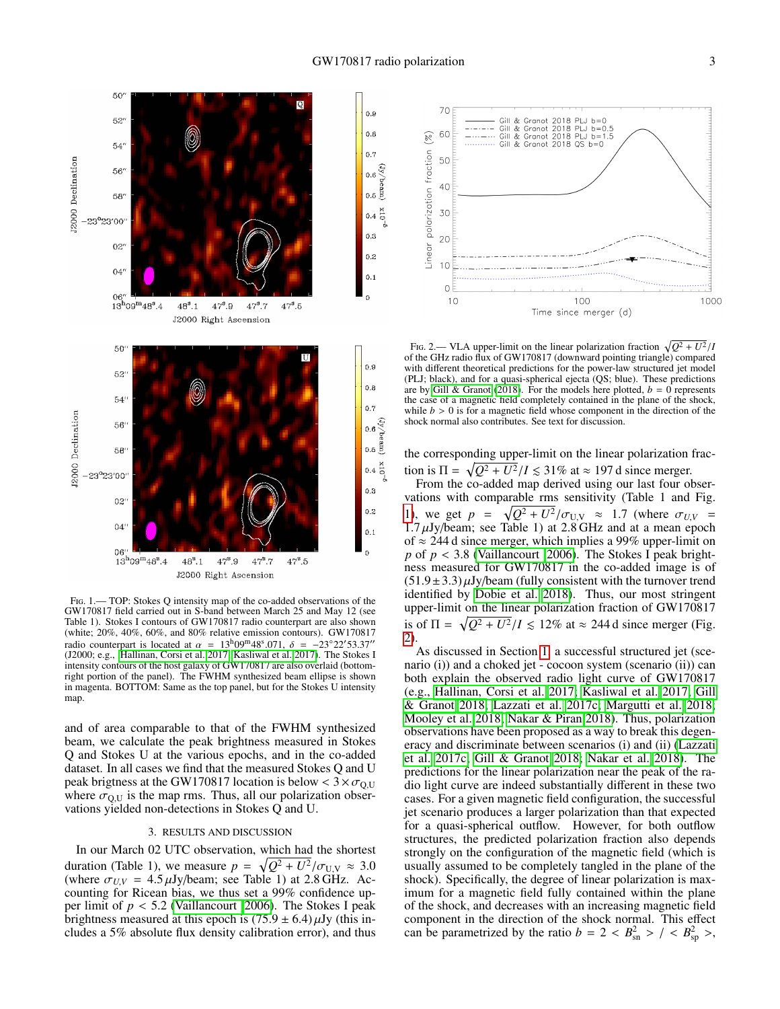$0,9$ 

 $0,8$ 

 $0.7$ 

 $0.6$ 

 $0.6$ 

 $0.4$ 

 $0.3$ 

 $0.2$ 

 $0.1$ 

 $0.9\,$ 

 $0.8$ 

 $0.7$ 

 $0.6$  $0.5$ 

 $0.4$ 

 $0.3$ 

 $0.2$ 

 $0.1$ 

ny/yei



<span id="page-2-1"></span>Fig. 1.— TOP: Stokes Q intensity map of the co-added observations of the GW170817 field carried out in S-band between March 25 and May 12 (see Table 1). Stokes I contours of GW170817 radio counterpart are also shown (white; 20%, 40%, 60%, and 80% relative emission contours). GW170817 radio counterpart is located at  $\alpha = 13^{\text{h}}09^{\text{m}}48^{\text{s}}.071$ ,  $\delta = -23^{\circ}22'53.37''$ <br>(J2000: e.g., Hallinan, Corsi et al. 2017: Kasliwal et al. 2017). The Stokes I (J2000; e.g., [Hallinan, Corsi et al. 2017;](#page-3-13) [Kasliwal et al. 2017\)](#page-4-1). The Stokes I intensity contours of the host galaxy of GW170817 are also overlaid (bottomright portion of the panel). The FWHM synthesized beam ellipse is shown in magenta. BOTTOM: Same as the top panel, but for the Stokes U intensity map.

and of area comparable to that of the FWHM synthesized beam, we calculate the peak brightness measured in Stokes Q and Stokes U at the various epochs, and in the co-added dataset. In all cases we find that the measured Stokes Q and U peak brigtness at the GW170817 location is below  $< 3 \times \sigma_{\text{Q,U}}$ where  $\sigma_{\text{Q},U}$  is the map rms. Thus, all our polarization observations yielded non-detections in Stokes Q and U.

## 3. RESULTS AND DISCUSSION

<span id="page-2-0"></span>In our March 02 UTC observation, which had the shortest duration (Table 1), we measure  $p = \sqrt{Q^2 + U^2}/\sigma_{U,V} \approx 3.0$ <br>(where  $\sigma_{UV} = 4.5 \mu$ Jy/beam: see Table 1) at 2.8 GHz. Ac-(where  $\sigma_{U,V} = 4.5 \,\mu\text{Jy/beam}$ ; see Table 1) at 2.8 GHz. Accounting for Ricean bias, we thus set a 99% confidence upper limit of *<sup>p</sup>* < <sup>5</sup>.2 [\(Vaillancourt 2006\)](#page-4-22). The Stokes I peak brightness measured at this epoch is  $(75.9 \pm 6.4) \mu Jy$  (this includes a 5% absolute flux density calibration error), and thus



<span id="page-2-2"></span>Fig. 2.— VLA upper-limit on the linear polarization fraction  $\sqrt{Q^2 + U^2}/I$ <br>f the GHz radio flux of GW170817 (downward pointing triangle) compared of the GHz radio flux of GW170817 (downward pointing triangle) compared with different theoretical predictions for the power-law structured jet model (PLJ; black), and for a quasi-spherical ejecta (QS; blue). These predictions are by [Gill & Granot](#page-3-19) [\(2018\)](#page-3-19). For the models here plotted,  $b = 0$  represents the case of a magnetic field completely contained in the plane of the shock, while  $b > 0$  is for a magnetic field whose component in the direction of the shock normal also contributes. See text for discussion.

the corresponding upper-limit on the linear polarization fraction is  $\Pi = \sqrt{Q^2 + U^2}/I \le 31\%$  at  $\approx 197$  d since merger.<br>From the co-added map derived using our last four of

From the co-added map derived using our last four observations with comparable rms sensitivity (Table 1 and Fig. [1\)](#page-2-1), we get  $p = \sqrt{Q^2 + U^2}/\sigma_{U,V} \approx 1.7$  (where  $\sigma_{U,V} = 1.7$  *u*Jv/beam: see Table 1) at 2.8 GHz and at a mean enoch  $1.7 \mu$ Jy/beam; see Table 1) at 2.8 GHz and at a mean epoch of  $\approx$  244 d since merger, which implies a 99% upper-limit on *p* of  $p < 3.8$  [\(Vaillancourt 2006\)](#page-4-22). The Stokes I peak brightness measured for GW170817 in the co-added image is of  $(51.9 \pm 3.3) \mu$ Jy/beam (fully consistent with the turnover trend identified by [Dobie et al. 2018\)](#page-3-16). Thus, our most stringent upper-limit on the linear polarization fraction of GW170817 is of  $\Pi = \sqrt{Q^2 + U^2}/I \le 12\%$  at  $\approx 244$  d since merger (Fig. 2). [2\)](#page-2-2).

As discussed in Section [1,](#page-0-0) a successful structured jet (scenario (i)) and a choked jet - cocoon system (scenario (ii)) can both explain the observed radio light curve of GW170817 (e.g., [Hallinan, Corsi et al. 2017;](#page-3-13) [Kasliwal et al. 2017;](#page-4-1) [Gill](#page-3-19) [& Granot 2018;](#page-3-19) [Lazzati et al. 2017c;](#page-4-16) [Margutti et al. 2018;](#page-4-11) [Mooley et al. 2018;](#page-4-12) [Nakar & Piran 2018\)](#page-4-18). Thus, polarization observations have been proposed as a way to break this degeneracy and discriminate between scenarios (i) and (ii) [\(Lazzati](#page-4-16) [et al. 2017c;](#page-4-16) [Gill & Granot 2018;](#page-3-19) [Nakar et al. 2018\)](#page-4-20). The predictions for the linear polarization near the peak of the radio light curve are indeed substantially different in these two cases. For a given magnetic field configuration, the successful jet scenario produces a larger polarization than that expected for a quasi-spherical outflow. However, for both outflow structures, the predicted polarization fraction also depends strongly on the configuration of the magnetic field (which is usually assumed to be completely tangled in the plane of the shock). Specifically, the degree of linear polarization is maximum for a magnetic field fully contained within the plane of the shock, and decreases with an increasing magnetic field component in the direction of the shock normal. This effect can be parametrized by the ratio  $b = 2 < B_{\rm sn}^2 > / < B_{\rm sp}^2 >$ ,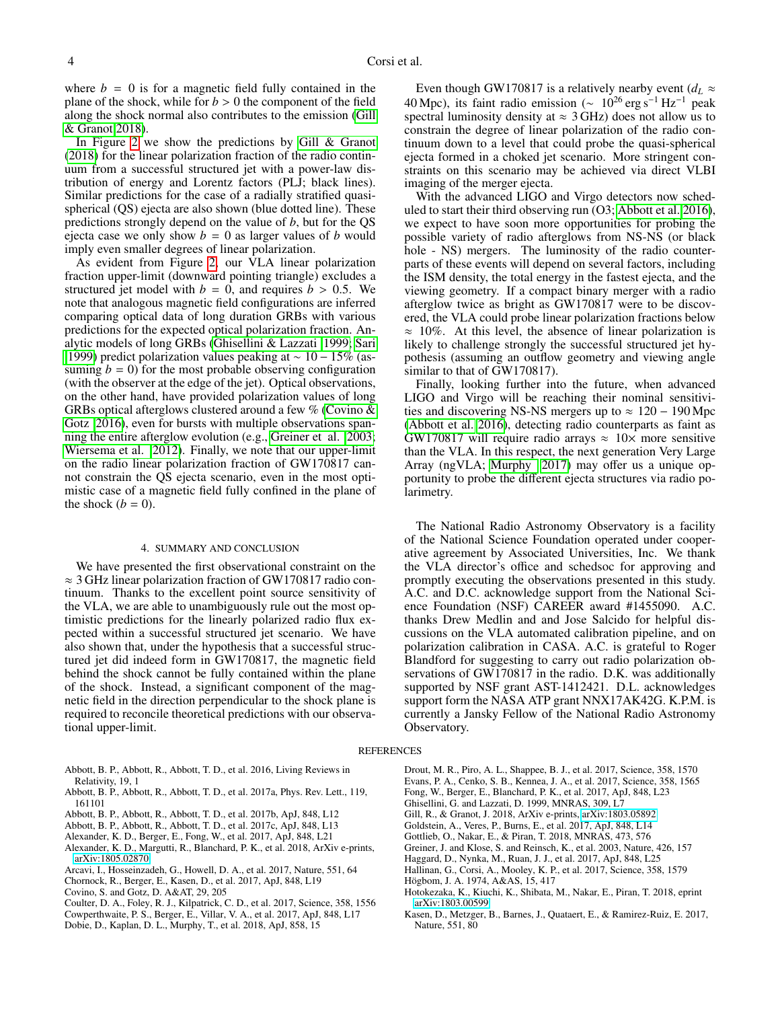where  $b = 0$  is for a magnetic field fully contained in the plane of the shock, while for  $b > 0$  the component of the field along the shock normal also contributes to the emission [\(Gill](#page-3-19) [& Granot 2018\)](#page-3-19).

In Figure [2](#page-2-2) we show the predictions by [Gill & Granot](#page-3-19) [\(2018\)](#page-3-19) for the linear polarization fraction of the radio continuum from a successful structured jet with a power-law distribution of energy and Lorentz factors (PLJ; black lines). Similar predictions for the case of a radially stratified quasispherical (QS) ejecta are also shown (blue dotted line). These predictions strongly depend on the value of *b*, but for the QS ejecta case we only show  $b = 0$  as larger values of *b* would imply even smaller degrees of linear polarization.

As evident from Figure [2,](#page-2-2) our VLA linear polarization fraction upper-limit (downward pointing triangle) excludes a structured jet model with  $b = 0$ , and requires  $b > 0.5$ . We note that analogous magnetic field configurations are inferred comparing optical data of long duration GRBs with various predictions for the expected optical polarization fraction. Analytic models of long GRBs [\(Ghisellini & Lazzati 1999;](#page-3-20) [Sari](#page-4-13) [1999\)](#page-4-13) predict polarization values peaking at ∼ 10 − 15% (assuming  $b = 0$  for the most probable observing configuration (with the observer at the edge of the jet). Optical observations, on the other hand, have provided polarization values of long GRBs optical afterglows clustered around a few % [\(Covino &](#page-3-23) [Gotz 2016\)](#page-3-23), even for bursts with multiple observations spanning the entire afterglow evolution (e.g., [Greiner et al. 2003;](#page-3-24) [Wiersema et al. 2012\)](#page-4-23). Finally, we note that our upper-limit on the radio linear polarization fraction of GW170817 cannot constrain the QS ejecta scenario, even in the most optimistic case of a magnetic field fully confined in the plane of the shock  $(b = 0)$ .

#### 4. SUMMARY AND CONCLUSION

<span id="page-3-21"></span>We have presented the first observational constraint on the ≈ 3 GHz linear polarization fraction of GW170817 radio continuum. Thanks to the excellent point source sensitivity of the VLA, we are able to unambiguously rule out the most optimistic predictions for the linearly polarized radio flux expected within a successful structured jet scenario. We have also shown that, under the hypothesis that a successful structured jet did indeed form in GW170817, the magnetic field behind the shock cannot be fully contained within the plane of the shock. Instead, a significant component of the magnetic field in the direction perpendicular to the shock plane is required to reconcile theoretical predictions with our observational upper-limit.

- <span id="page-3-25"></span>Abbott, B. P., Abbott, R., Abbott, T. D., et al. 2016, Living Reviews in Relativity, 19, 1
- <span id="page-3-0"></span>Abbott, B. P., Abbott, R., Abbott, T. D., et al. 2017a, Phys. Rev. Lett., 119, 161101
- <span id="page-3-1"></span>Abbott, B. P., Abbott, R., Abbott, T. D., et al. 2017b, ApJ, 848, L12
- <span id="page-3-2"></span>Abbott, B. P., Abbott, R., Abbott, T. D., et al. 2017c, ApJ, 848, L13
- <span id="page-3-14"></span>Alexander, K. D., Berger, E., Fong, W., et al. 2017, ApJ, 848, L21
- <span id="page-3-15"></span>Alexander, K. D., Margutti, R., Blanchard, P. K., et al. 2018, ArXiv e-prints, [arXiv:1805.02870](http://arxiv.org/abs/1805.02870)
- <span id="page-3-6"></span>Arcavi, I., Hosseinzadeh, G., Howell, D. A., et al. 2017, Nature, 551, 64
- <span id="page-3-7"></span>Chornock, R., Berger, E., Kasen, D., et al. 2017, ApJ, 848, L19
- <span id="page-3-23"></span>Covino, S. and Gotz, D. A&AT, 29, 205
- <span id="page-3-8"></span><span id="page-3-4"></span>Coulter, D. A., Foley, R. J., Kilpatrick, C. D., et al. 2017, Science, 358, 1556 Cowperthwaite, P. S., Berger, E., Villar, V. A., et al. 2017, ApJ, 848, L17
- <span id="page-3-16"></span>Dobie, D., Kaplan, D. L., Murphy, T., et al. 2018, ApJ, 858, 15

Even though GW170817 is a relatively nearby event ( $d_L \approx$ 40 Mpc), its faint radio emission ( $\sim 10^{26}$  erg s<sup>-1</sup> Hz<sup>-1</sup> peak spectral luminosity density at  $\approx 3$  GHz) does not allow us to constrain the degree of linear polarization of the radio continuum down to a level that could probe the quasi-spherical ejecta formed in a choked jet scenario. More stringent constraints on this scenario may be achieved via direct VLBI imaging of the merger ejecta.

With the advanced LIGO and Virgo detectors now scheduled to start their third observing run (O3; [Abbott et al. 2016\)](#page-3-25), we expect to have soon more opportunities for probing the possible variety of radio afterglows from NS-NS (or black hole - NS) mergers. The luminosity of the radio counterparts of these events will depend on several factors, including the ISM density, the total energy in the fastest ejecta, and the viewing geometry. If a compact binary merger with a radio afterglow twice as bright as GW170817 were to be discovered, the VLA could probe linear polarization fractions below  $\approx$  10%. At this level, the absence of linear polarization is likely to challenge strongly the successful structured jet hypothesis (assuming an outflow geometry and viewing angle similar to that of GW170817).

Finally, looking further into the future, when advanced LIGO and Virgo will be reaching their nominal sensitivities and discovering NS-NS mergers up to  $\approx 120 - 190$  Mpc [\(Abbott et al. 2016\)](#page-3-25), detecting radio counterparts as faint as GW170817 will require radio arrays  $\approx 10 \times$  more sensitive than the VLA. In this respect, the next generation Very Large Array (ngVLA; [Murphy 2017\)](#page-4-24) may offer us a unique opportunity to probe the different ejecta structures via radio polarimetry.

The National Radio Astronomy Observatory is a facility of the National Science Foundation operated under cooperative agreement by Associated Universities, Inc. We thank the VLA director's office and schedsoc for approving and promptly executing the observations presented in this study. A.C. and D.C. acknowledge support from the National Science Foundation (NSF) CAREER award #1455090. A.C. thanks Drew Medlin and and Jose Salcido for helpful discussions on the VLA automated calibration pipeline, and on polarization calibration in CASA. A.C. is grateful to Roger Blandford for suggesting to carry out radio polarization observations of GW170817 in the radio. D.K. was additionally supported by NSF grant AST-1412421. D.L. acknowledges support form the NASA ATP grant NNX17AK42G. K.P.M. is currently a Jansky Fellow of the National Radio Astronomy Observatory.

### REFERENCES

<span id="page-3-9"></span>Drout, M. R., Piro, A. L., Shappee, B. J., et al. 2017, Science, 358, 1570

- <span id="page-3-10"></span>Evans, P. A., Cenko, S. B., Kennea, J. A., et al. 2017, Science, 358, 1565
- <span id="page-3-5"></span>Fong, W., Berger, E., Blanchard, P. K., et al. 2017, ApJ, 848, L23
- <span id="page-3-20"></span>Ghisellini, G. and Lazzati, D. 1999, MNRAS, 309, L7
- <span id="page-3-19"></span>Gill, R., & Granot, J. 2018, ArXiv e-prints, [arXiv:1803.05892](http://arxiv.org/abs/1803.05892)
- <span id="page-3-3"></span>Goldstein, A., Veres, P., Burns, E., et al. 2017, ApJ, 848, L14
- <span id="page-3-17"></span>Gottlieb, O., Nakar, E., & Piran, T. 2018, MNRAS, 473, 576
- <span id="page-3-24"></span>Greiner, J. and Klose, S. and Reinsch, K., et al. 2003, Nature, 426, 157
- <span id="page-3-12"></span>Haggard, D., Nynka, M., Ruan, J. J., et al. 2017, ApJ, 848, L25
- <span id="page-3-22"></span><span id="page-3-13"></span>Hallinan, G., Corsi, A., Mooley, K. P., et al. 2017, Science, 358, 1579 Högbom, J. A. 1974, A&AS, 15, 417
- <span id="page-3-18"></span>Hotokezaka, K., Kiuchi, K., Shibata, M., Nakar, E., Piran, T. 2018, eprint [arXiv:1803.00599](http://arxiv.org/abs/1803.00599)
- <span id="page-3-11"></span>Kasen, D., Metzger, B., Barnes, J., Quataert, E., & Ramirez-Ruiz, E. 2017, Nature, 551, 80